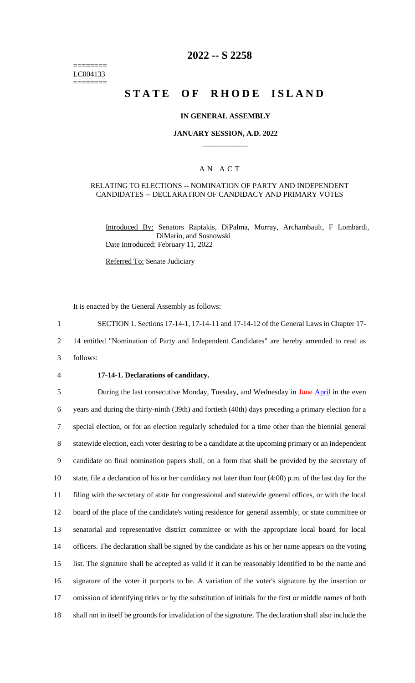======== LC004133 ========

# **2022 -- S 2258**

# **STATE OF RHODE ISLAND**

### **IN GENERAL ASSEMBLY**

#### **JANUARY SESSION, A.D. 2022 \_\_\_\_\_\_\_\_\_\_\_\_**

### A N A C T

#### RELATING TO ELECTIONS -- NOMINATION OF PARTY AND INDEPENDENT CANDIDATES -- DECLARATION OF CANDIDACY AND PRIMARY VOTES

Introduced By: Senators Raptakis, DiPalma, Murray, Archambault, F Lombardi, DiMario, and Sosnowski Date Introduced: February 11, 2022

Referred To: Senate Judiciary

It is enacted by the General Assembly as follows:

1 SECTION 1. Sections 17-14-1, 17-14-11 and 17-14-12 of the General Laws in Chapter 17-

2 14 entitled "Nomination of Party and Independent Candidates" are hereby amended to read as

- 3 follows:
- 

#### 4 **17-14-1. Declarations of candidacy.**

5 During the last consecutive Monday, Tuesday, and Wednesday in June April in the even years and during the thirty-ninth (39th) and fortieth (40th) days preceding a primary election for a special election, or for an election regularly scheduled for a time other than the biennial general statewide election, each voter desiring to be a candidate at the upcoming primary or an independent candidate on final nomination papers shall, on a form that shall be provided by the secretary of state, file a declaration of his or her candidacy not later than four (4:00) p.m. of the last day for the filing with the secretary of state for congressional and statewide general offices, or with the local board of the place of the candidate's voting residence for general assembly, or state committee or senatorial and representative district committee or with the appropriate local board for local officers. The declaration shall be signed by the candidate as his or her name appears on the voting list. The signature shall be accepted as valid if it can be reasonably identified to be the name and signature of the voter it purports to be. A variation of the voter's signature by the insertion or omission of identifying titles or by the substitution of initials for the first or middle names of both shall not in itself be grounds for invalidation of the signature. The declaration shall also include the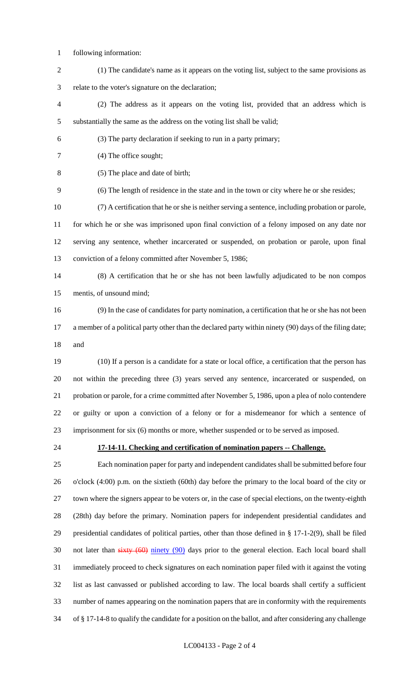- following information:
- (1) The candidate's name as it appears on the voting list, subject to the same provisions as relate to the voter's signature on the declaration;
- (2) The address as it appears on the voting list, provided that an address which is substantially the same as the address on the voting list shall be valid;
- (3) The party declaration if seeking to run in a party primary;
- (4) The office sought;
- (5) The place and date of birth;
- (6) The length of residence in the state and in the town or city where he or she resides;
- (7) A certification that he or she is neither serving a sentence, including probation or parole,

 for which he or she was imprisoned upon final conviction of a felony imposed on any date nor serving any sentence, whether incarcerated or suspended, on probation or parole, upon final conviction of a felony committed after November 5, 1986;

 (8) A certification that he or she has not been lawfully adjudicated to be non compos mentis, of unsound mind;

 (9) In the case of candidates for party nomination, a certification that he or she has not been 17 a member of a political party other than the declared party within ninety (90) days of the filing date; and

 (10) If a person is a candidate for a state or local office, a certification that the person has not within the preceding three (3) years served any sentence, incarcerated or suspended, on probation or parole, for a crime committed after November 5, 1986, upon a plea of nolo contendere or guilty or upon a conviction of a felony or for a misdemeanor for which a sentence of imprisonment for six (6) months or more, whether suspended or to be served as imposed.

### **17-14-11. Checking and certification of nomination papers -- Challenge.**

 Each nomination paper for party and independent candidates shall be submitted before four o'clock (4:00) p.m. on the sixtieth (60th) day before the primary to the local board of the city or town where the signers appear to be voters or, in the case of special elections, on the twenty-eighth (28th) day before the primary. Nomination papers for independent presidential candidates and presidential candidates of political parties, other than those defined in § 17-1-2(9), shall be filed 30 not later than sixty (60) ninety (90) days prior to the general election. Each local board shall immediately proceed to check signatures on each nomination paper filed with it against the voting list as last canvassed or published according to law. The local boards shall certify a sufficient number of names appearing on the nomination papers that are in conformity with the requirements of § 17-14-8 to qualify the candidate for a position on the ballot, and after considering any challenge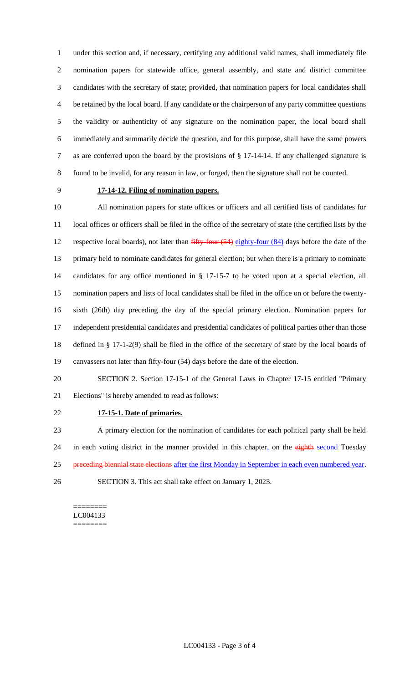under this section and, if necessary, certifying any additional valid names, shall immediately file nomination papers for statewide office, general assembly, and state and district committee candidates with the secretary of state; provided, that nomination papers for local candidates shall be retained by the local board. If any candidate or the chairperson of any party committee questions the validity or authenticity of any signature on the nomination paper, the local board shall immediately and summarily decide the question, and for this purpose, shall have the same powers as are conferred upon the board by the provisions of § 17-14-14. If any challenged signature is found to be invalid, for any reason in law, or forged, then the signature shall not be counted.

# **17-14-12. Filing of nomination papers.**

 All nomination papers for state offices or officers and all certified lists of candidates for local offices or officers shall be filed in the office of the secretary of state (the certified lists by the 12 respective local boards), not later than  $\frac{f^2}{f^2}$  four (54) eighty-four (84) days before the date of the primary held to nominate candidates for general election; but when there is a primary to nominate candidates for any office mentioned in § 17-15-7 to be voted upon at a special election, all nomination papers and lists of local candidates shall be filed in the office on or before the twenty- sixth (26th) day preceding the day of the special primary election. Nomination papers for independent presidential candidates and presidential candidates of political parties other than those defined in § 17-1-2(9) shall be filed in the office of the secretary of state by the local boards of canvassers not later than fifty-four (54) days before the date of the election.

 SECTION 2. Section 17-15-1 of the General Laws in Chapter 17-15 entitled "Primary Elections" is hereby amended to read as follows:

### **17-15-1. Date of primaries.**

 A primary election for the nomination of candidates for each political party shall be held 24 in each voting district in the manner provided in this chapter, on the eighth second Tuesday 25 preceding biennial state elections after the first Monday in September in each even numbered year. SECTION 3. This act shall take effect on January 1, 2023.

======== LC004133 ========